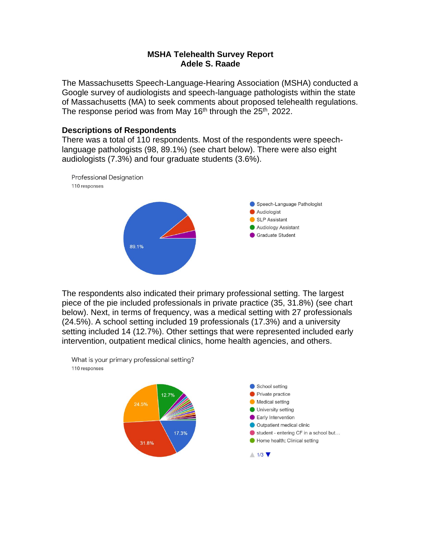## **MSHA Telehealth Survey Report Adele S. Raade**

The Massachusetts Speech-Language-Hearing Association (MSHA) conducted a Google survey of audiologists and speech-language pathologists within the state of Massachusetts (MA) to seek comments about proposed telehealth regulations. The response period was from May 16<sup>th</sup> through the 25<sup>th</sup>, 2022.

## **Descriptions of Respondents**

There was a total of 110 respondents. Most of the respondents were speechlanguage pathologists (98, 89.1%) (see chart below). There were also eight audiologists (7.3%) and four graduate students (3.6%).



The respondents also indicated their primary professional setting. The largest piece of the pie included professionals in private practice (35, 31.8%) (see chart below). Next, in terms of frequency, was a medical setting with 27 professionals (24.5%). A school setting included 19 professionals (17.3%) and a university setting included 14 (12.7%). Other settings that were represented included early intervention, outpatient medical clinics, home health agencies, and others.

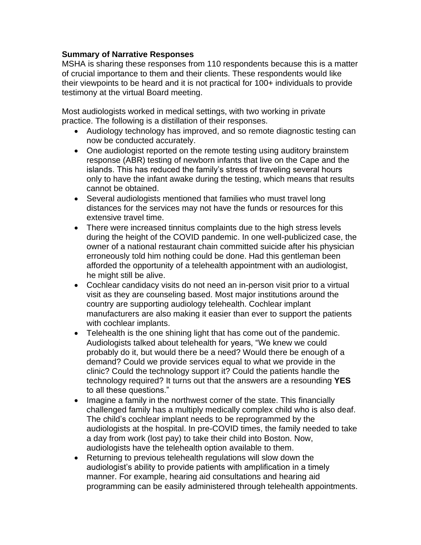## **Summary of Narrative Responses**

MSHA is sharing these responses from 110 respondents because this is a matter of crucial importance to them and their clients. These respondents would like their viewpoints to be heard and it is not practical for 100+ individuals to provide testimony at the virtual Board meeting.

Most audiologists worked in medical settings, with two working in private practice. The following is a distillation of their responses.

- Audiology technology has improved, and so remote diagnostic testing can now be conducted accurately.
- One audiologist reported on the remote testing using auditory brainstem response (ABR) testing of newborn infants that live on the Cape and the islands. This has reduced the family's stress of traveling several hours only to have the infant awake during the testing, which means that results cannot be obtained.
- Several audiologists mentioned that families who must travel long distances for the services may not have the funds or resources for this extensive travel time.
- There were increased tinnitus complaints due to the high stress levels during the height of the COVID pandemic. In one well-publicized case, the owner of a national restaurant chain committed suicide after his physician erroneously told him nothing could be done. Had this gentleman been afforded the opportunity of a telehealth appointment with an audiologist, he might still be alive.
- Cochlear candidacy visits do not need an in-person visit prior to a virtual visit as they are counseling based. Most major institutions around the country are supporting audiology telehealth. Cochlear implant manufacturers are also making it easier than ever to support the patients with cochlear implants.
- Telehealth is the one shining light that has come out of the pandemic. Audiologists talked about telehealth for years, "We knew we could probably do it, but would there be a need? Would there be enough of a demand? Could we provide services equal to what we provide in the clinic? Could the technology support it? Could the patients handle the technology required? It turns out that the answers are a resounding **YES**  to all these questions."
- Imagine a family in the northwest corner of the state. This financially challenged family has a multiply medically complex child who is also deaf. The child's cochlear implant needs to be reprogrammed by the audiologists at the hospital. In pre-COVID times, the family needed to take a day from work (lost pay) to take their child into Boston. Now, audiologists have the telehealth option available to them.
- Returning to previous telehealth regulations will slow down the audiologist's ability to provide patients with amplification in a timely manner. For example, hearing aid consultations and hearing aid programming can be easily administered through telehealth appointments.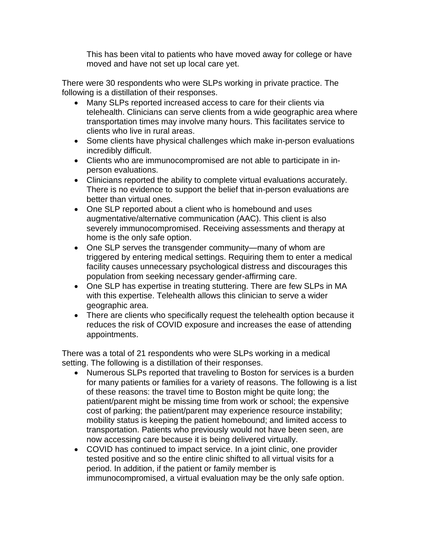This has been vital to patients who have moved away for college or have moved and have not set up local care yet.

There were 30 respondents who were SLPs working in private practice. The following is a distillation of their responses.

- Many SLPs reported increased access to care for their clients via telehealth. Clinicians can serve clients from a wide geographic area where transportation times may involve many hours. This facilitates service to clients who live in rural areas.
- Some clients have physical challenges which make in-person evaluations incredibly difficult.
- Clients who are immunocompromised are not able to participate in inperson evaluations.
- Clinicians reported the ability to complete virtual evaluations accurately. There is no evidence to support the belief that in-person evaluations are better than virtual ones.
- One SLP reported about a client who is homebound and uses augmentative/alternative communication (AAC). This client is also severely immunocompromised. Receiving assessments and therapy at home is the only safe option.
- One SLP serves the transgender community—many of whom are triggered by entering medical settings. Requiring them to enter a medical facility causes unnecessary psychological distress and discourages this population from seeking necessary gender-affirming care.
- One SLP has expertise in treating stuttering. There are few SLPs in MA with this expertise. Telehealth allows this clinician to serve a wider geographic area.
- There are clients who specifically request the telehealth option because it reduces the risk of COVID exposure and increases the ease of attending appointments.

There was a total of 21 respondents who were SLPs working in a medical setting. The following is a distillation of their responses.

- Numerous SLPs reported that traveling to Boston for services is a burden for many patients or families for a variety of reasons. The following is a list of these reasons: the travel time to Boston might be quite long; the patient/parent might be missing time from work or school; the expensive cost of parking; the patient/parent may experience resource instability; mobility status is keeping the patient homebound; and limited access to transportation. Patients who previously would not have been seen, are now accessing care because it is being delivered virtually.
- COVID has continued to impact service. In a joint clinic, one provider tested positive and so the entire clinic shifted to all virtual visits for a period. In addition, if the patient or family member is immunocompromised, a virtual evaluation may be the only safe option.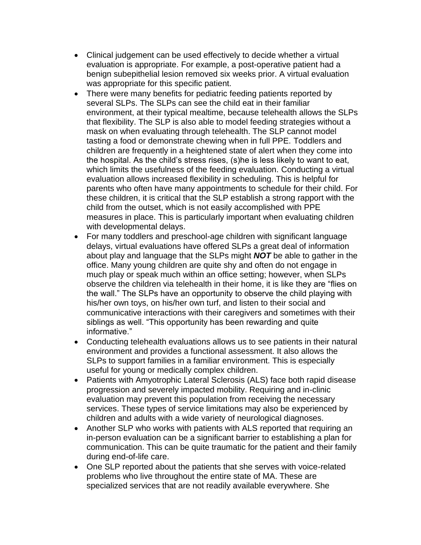- Clinical judgement can be used effectively to decide whether a virtual evaluation is appropriate. For example, a post-operative patient had a benign subepithelial lesion removed six weeks prior. A virtual evaluation was appropriate for this specific patient.
- There were many benefits for pediatric feeding patients reported by several SLPs. The SLPs can see the child eat in their familiar environment, at their typical mealtime, because telehealth allows the SLPs that flexibility. The SLP is also able to model feeding strategies without a mask on when evaluating through telehealth. The SLP cannot model tasting a food or demonstrate chewing when in full PPE. Toddlers and children are frequently in a heightened state of alert when they come into the hospital. As the child's stress rises, (s)he is less likely to want to eat, which limits the usefulness of the feeding evaluation. Conducting a virtual evaluation allows increased flexibility in scheduling. This is helpful for parents who often have many appointments to schedule for their child. For these children, it is critical that the SLP establish a strong rapport with the child from the outset, which is not easily accomplished with PPE measures in place. This is particularly important when evaluating children with developmental delays.
- For many toddlers and preschool-age children with significant language delays, virtual evaluations have offered SLPs a great deal of information about play and language that the SLPs might *NOT* be able to gather in the office. Many young children are quite shy and often do not engage in much play or speak much within an office setting; however, when SLPs observe the children via telehealth in their home, it is like they are "flies on the wall." The SLPs have an opportunity to observe the child playing with his/her own toys, on his/her own turf, and listen to their social and communicative interactions with their caregivers and sometimes with their siblings as well. "This opportunity has been rewarding and quite informative."
- Conducting telehealth evaluations allows us to see patients in their natural environment and provides a functional assessment. It also allows the SLPs to support families in a familiar environment. This is especially useful for young or medically complex children.
- Patients with Amyotrophic Lateral Sclerosis (ALS) face both rapid disease progression and severely impacted mobility. Requiring and in-clinic evaluation may prevent this population from receiving the necessary services. These types of service limitations may also be experienced by children and adults with a wide variety of neurological diagnoses.
- Another SLP who works with patients with ALS reported that requiring an in-person evaluation can be a significant barrier to establishing a plan for communication. This can be quite traumatic for the patient and their family during end-of-life care.
- One SLP reported about the patients that she serves with voice-related problems who live throughout the entire state of MA. These are specialized services that are not readily available everywhere. She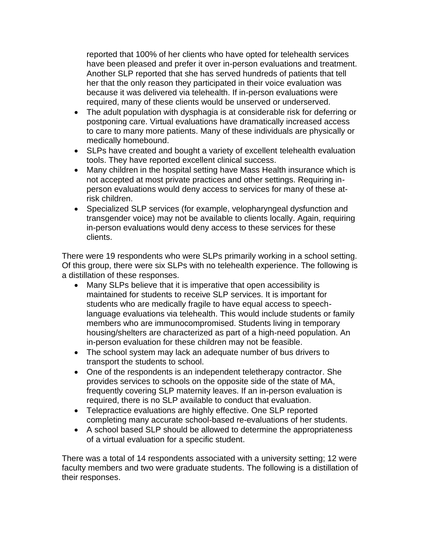reported that 100% of her clients who have opted for telehealth services have been pleased and prefer it over in-person evaluations and treatment. Another SLP reported that she has served hundreds of patients that tell her that the only reason they participated in their voice evaluation was because it was delivered via telehealth. If in-person evaluations were required, many of these clients would be unserved or underserved.

- The adult population with dysphagia is at considerable risk for deferring or postponing care. Virtual evaluations have dramatically increased access to care to many more patients. Many of these individuals are physically or medically homebound.
- SLPs have created and bought a variety of excellent telehealth evaluation tools. They have reported excellent clinical success.
- Many children in the hospital setting have Mass Health insurance which is not accepted at most private practices and other settings. Requiring inperson evaluations would deny access to services for many of these atrisk children.
- Specialized SLP services (for example, velopharyngeal dysfunction and transgender voice) may not be available to clients locally. Again, requiring in-person evaluations would deny access to these services for these clients.

There were 19 respondents who were SLPs primarily working in a school setting. Of this group, there were six SLPs with no telehealth experience. The following is a distillation of these responses.

- Many SLPs believe that it is imperative that open accessibility is maintained for students to receive SLP services. It is important for students who are medically fragile to have equal access to speechlanguage evaluations via telehealth. This would include students or family members who are immunocompromised. Students living in temporary housing/shelters are characterized as part of a high-need population. An in-person evaluation for these children may not be feasible.
- The school system may lack an adequate number of bus drivers to transport the students to school.
- One of the respondents is an independent teletherapy contractor. She provides services to schools on the opposite side of the state of MA, frequently covering SLP maternity leaves. If an in-person evaluation is required, there is no SLP available to conduct that evaluation.
- Telepractice evaluations are highly effective. One SLP reported completing many accurate school-based re-evaluations of her students.
- A school based SLP should be allowed to determine the appropriateness of a virtual evaluation for a specific student.

There was a total of 14 respondents associated with a university setting; 12 were faculty members and two were graduate students. The following is a distillation of their responses.